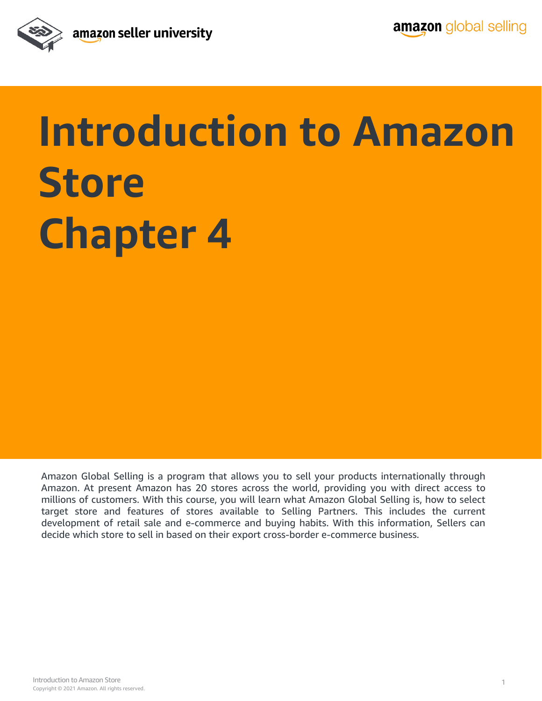

## **Introduction to Amazon Store Chapter 4**

Amazon Global Selling is a program that allows you to sell your products internationally through Amazon. At present Amazon has 20 stores across the world, providing you with direct access to millions of customers. With this course, you will learn what Amazon Global Selling is, how to select target store and features of stores available to Selling Partners. This includes the current development of retail sale and e-commerce and buying habits. With this information, Sellers can decide which store to sell in based on their export cross-border e-commerce business.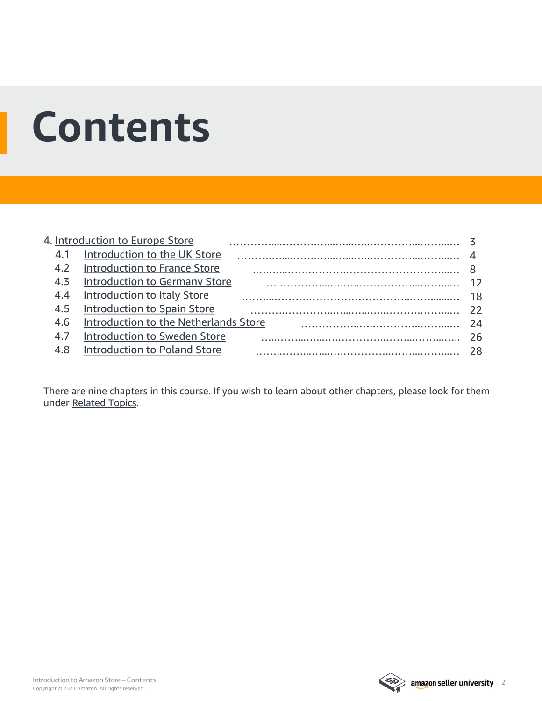## **Contents**

|     | 4. Introduction to Europe Store       |     |
|-----|---------------------------------------|-----|
|     | 4.1 Introduction to the UK Store      |     |
| 4.2 | <b>Introduction to France Store</b>   |     |
| 4.3 | <b>Introduction to Germany Store</b>  | 12  |
| 4.4 | Introduction to Italy Store           | 18  |
| 4.5 | <b>Introduction to Spain Store</b>    | -22 |
| 4.6 | Introduction to the Netherlands Store | -24 |
| 4.7 | Introduction to Sweden Store          | 26  |
| 48  | <b>Introduction to Poland Store</b>   |     |
|     |                                       |     |

There are nine chapters in this course. If you wish to learn about other chapters, please look for them under [Related Topics](#page-29-0).

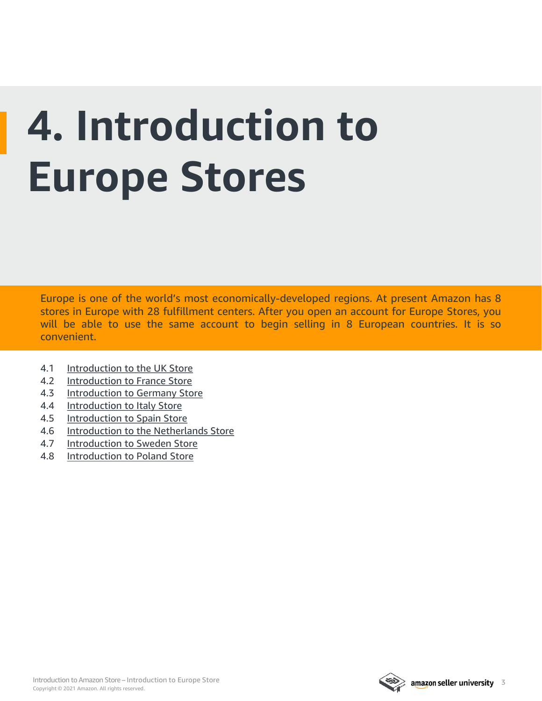## <span id="page-2-0"></span>**4. Introduction to Europe Stores**

Europe is one of the world's most economically-developed regions. At present Amazon has 8 stores in Europe with 28 fulfillment centers. After you open an account for Europe Stores, you will be able to use the same account to begin selling in 8 European countries. It is so convenient.

- 4.1 [Introduction to the UK Store](#page-3-0)
- 4.2 [Introduction to France Store](#page-7-0)
- 4.3 [Introduction to Germany Store](#page-11-0)
- 4.4 [Introduction to Italy Store](#page-17-0)
- 4.5 [Introduction to Spain Store](#page-21-0)
- 4.6 [Introduction to the Netherlands Store](#page-23-0)
- 4.7 [Introduction to Sweden Store](#page-25-0)
- 4.8 [Introduction to Poland Store](#page-27-0)



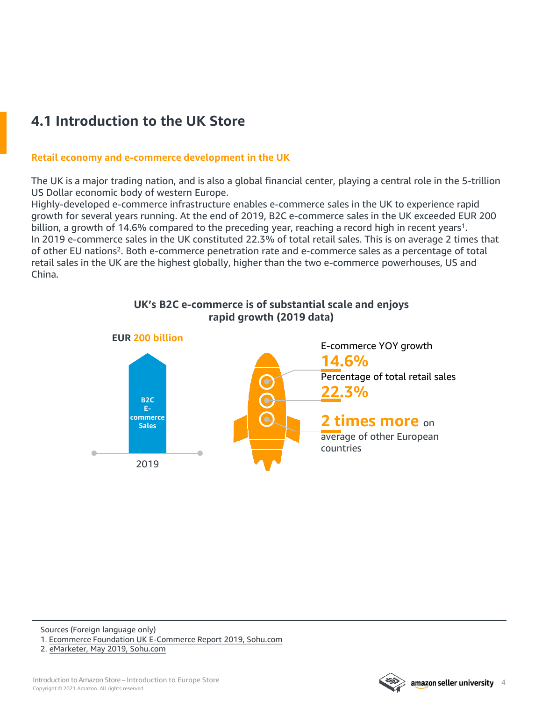## <span id="page-3-0"></span>**4.1 Introduction to the UK Store**

#### **Retail economy and e-commerce development in the UK**

The UK is a major trading nation, and is also a global financial center, playing a central role in the 5-trillion US Dollar economic body of western Europe.

Highly-developed e-commerce infrastructure enables e-commerce sales in the UK to experience rapid growth for several years running. At the end of 2019, B2C e-commerce sales in the UK exceeded EUR 200 billion, a growth of 14.6% compared to the preceding year, reaching a record high in recent years<sup>1</sup>. In 2019 e-commerce sales in the UK constituted 22.3% of total retail sales. This is on average 2 times that of other EU nations2. Both e-commerce penetration rate and e-commerce sales as a percentage of total retail sales in the UK are the highest globally, higher than the two e-commerce powerhouses, US and China.



#### **UK's B2C e-commerce is of substantial scale and enjoys rapid growth (2019 data)**

Sources (Foreign language only) 1. Ecommerce Foundation UK [E-Commerce](https://www.sohu.com/a/323326160_120176438) Report 2019, Sohu.com

2. [eMarketer,](https://www.sohu.com/a/325669193_100273032) May 2019, Sohu.com

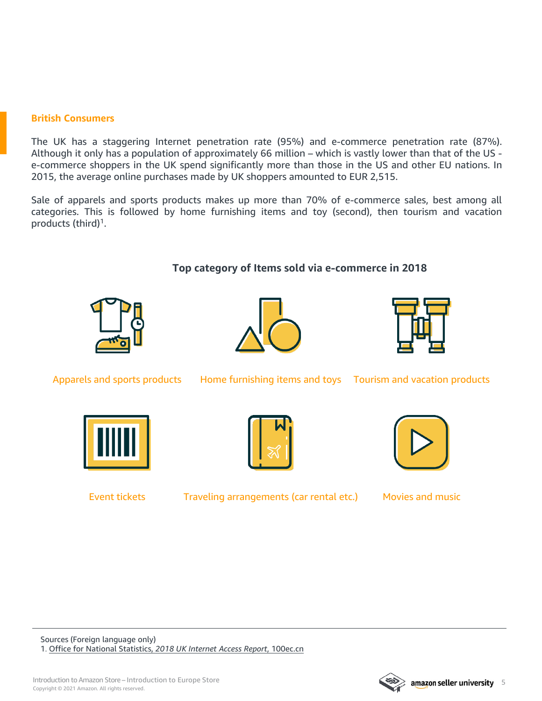#### **British Consumers**

The UK has a staggering Internet penetration rate (95%) and e-commerce penetration rate (87%). Although it only has a population of approximately 66 million – which is vastly lower than that of the US e-commerce shoppers in the UK spend significantly more than those in the US and other EU nations. In 2015, the average online purchases made by UK shoppers amounted to EUR 2,515.

Sale of apparels and sports products makes up more than 70% of e-commerce sales, best among all categories. This is followed by home furnishing items and toy (second), then tourism and vacation products (third)1.

#### **Top category of Items sold via e-commerce in 2018**







Apparels and sports products Home furnishing items and toys Tourism and vacation products





Event tickets Traveling arrangements (car rental etc.) Movies and music



Sources (Foreign language only) 1. Office for National [Statistics,](http://www.100ec.cn/index/detail--6466983.html) *2018 UK Internet Access Report*, 100ec.cn

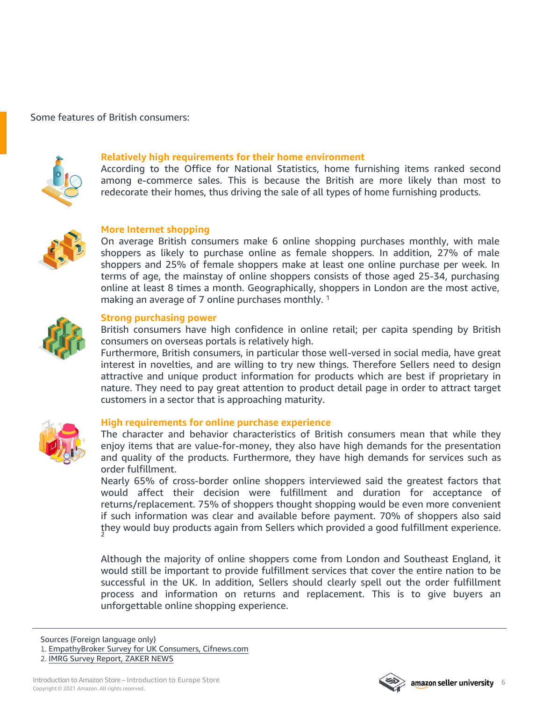Some features of British consumers:



#### **Relatively high requirements for their home environment**

According to the Office for National Statistics, home furnishing items ranked second among e-commerce sales. This is because the British are more likely than most to redecorate their homes, thus driving the sale of all types of home furnishing products.



#### **More Internet shopping**

On average British consumers make 6 online shopping purchases monthly, with male shoppers as likely to purchase online as female shoppers. In addition, 27% of male shoppers and 25% of female shoppers make at least one online purchase per week. In terms of age, the mainstay of online shoppers consists of those aged 25-34, purchasing online at least 8 times a month. Geographically, shoppers in London are the most active, making an average of 7 online purchases monthly.<sup>1</sup>



#### **Strong purchasing power**

British consumers have high confidence in online retail; per capita spending by British consumers on overseas portals is relatively high.

Furthermore, British consumers, in particular those well-versed in social media, have great interest in novelties, and are willing to try new things. Therefore Sellers need to design attractive and unique product information for products which are best if proprietary in nature. They need to pay great attention to product detail page in order to attract target customers in a sector that is approaching maturity.



#### **High requirements for online purchase experience**

The character and behavior characteristics of British consumers mean that while they enjoy items that are value-for-money, they also have high demands for the presentation and quality of the products. Furthermore, they have high demands for services such as order fulfillment.

Nearly 65% of cross-border online shoppers interviewed said the greatest factors that would affect their decision were fulfillment and duration for acceptance of returns/replacement. 75% of shoppers thought shopping would be even more convenient if such information was clear and available before payment. 70% of shoppers also said they would buy products again from Sellers which provided a good fulfillment experience.

Although the majority of online shoppers come from London and Southeast England, it would still be important to provide fulfillment services that cover the entire nation to be successful in the UK. In addition, Sellers should clearly spell out the order fulfillment process and information on returns and replacement. This is to give buyers an unforgettable online shopping experience.

Sources (Foreign language only)

2. IMRG Survey [Report,](http://www.myzaker.com/article/5887e9c21bc8e00867000002) ZAKER NEWS



<sup>1.</sup> [EmpathyBroker](https://m.cifnews.com/article/37018) Survey for UK Consumers, Cifnews.com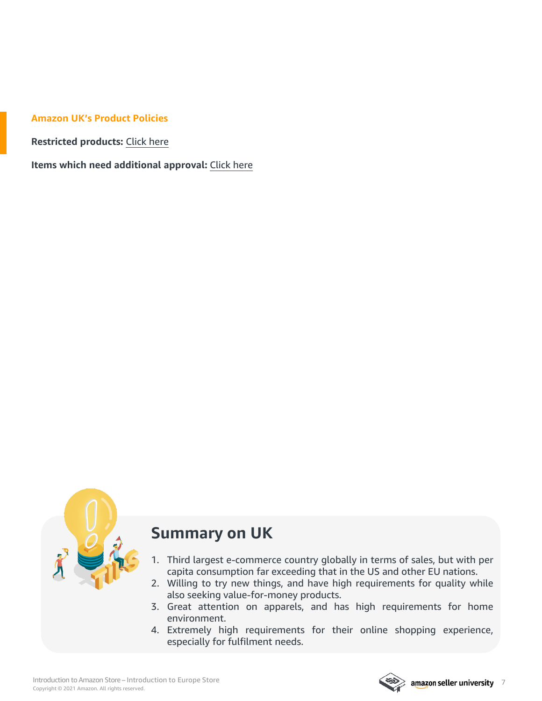#### **Amazon UK's Product Policies**

**Restricted products:** [Click](https://sellercentral.amazon.co.uk/gp/help/help.html?itemID=201743940&language=en_GB&ld=SCSOAlogin) here

**Items which need additional approval:** [Click](https://sellercentral.amazon.co.uk/gp/help/help.html?itemID=200301050&language=zh_CN&ref=pt_200301050_relt_201743940) here



## **Summary on UK**

- 1. Third largest e-commerce country globally in terms of sales, but with per capita consumption far exceeding that in the US and other EU nations.
- 2. Willing to try new things, and have high requirements for quality while also seeking value-for-money products.
- 3. Great attention on apparels, and has high requirements for home environment.
- 4. Extremely high requirements for their online shopping experience, especially for fulfilment needs.

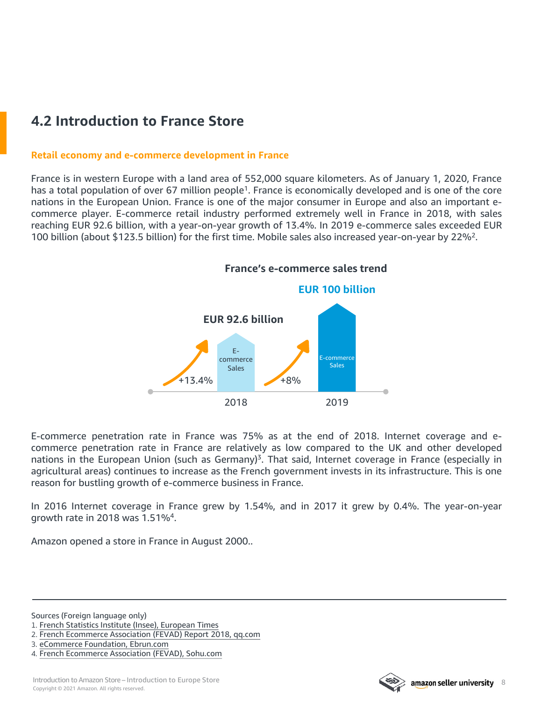## <span id="page-7-0"></span>**4.2 Introduction to France Store**

#### **Retail economy and e-commerce development in France**

France is in western Europe with a land area of 552,000 square kilometers. As of January 1, 2020, France has a total population of over 67 million people<sup>1</sup>. France is economically developed and is one of the core nations in the European Union. France is one of the major consumer in Europe and also an important ecommerce player. E-commerce retail industry performed extremely well in France in 2018, with sales reaching EUR 92.6 billion, with a year-on-year growth of 13.4%. In 2019 e-commerce sales exceeded EUR 100 billion (about \$123.5 billion) for the first time. Mobile sales also increased year-on-year by 22%2.



E-commerce penetration rate in France was 75% as at the end of 2018. Internet coverage and ecommerce penetration rate in France are relatively as low compared to the UK and other developed nations in the European Union (such as Germany)<sup>3</sup>. That said, Internet coverage in France (especially in agricultural areas) continues to increase as the French government invests in its infrastructure. This is one reason for bustling growth of e-commerce business in France.

In 2016 Internet coverage in France grew by 1.54%, and in 2017 it grew by 0.4%. The year-on-year growth rate in 2018 was 1.51%4.

Amazon opened a store in France in August 2000..

Sources (Foreign language only)

2. French [Ecommerce](https://new.qq.com/omn/20190214/20190214A0J78D.html?pc) Association (FEVAD) Report 2018, qq.com



<sup>1.</sup> French Statistics Institute (Insee), [European](http://www.oushinet.com/europe/france/20200114/339006.html) Times

<sup>3.</sup> eCommerce [Foundation,](http://www.ebrun.com/20190528/335569.shtml) Ebrun.com

<sup>4.</sup> French [Ecommerce](https://www.sohu.com/a/241055095_368681) Association (FEVAD), Sohu.com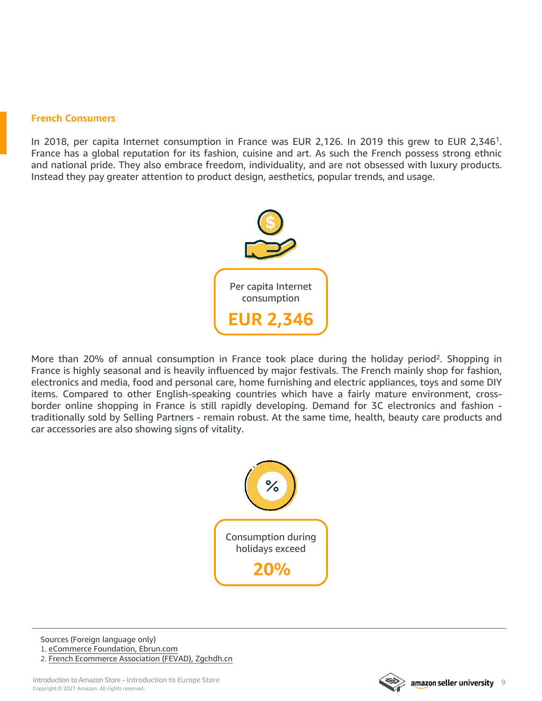#### **French Consumers**

In 2018, per capita Internet consumption in France was EUR 2,126. In 2019 this grew to EUR 2,346<sup>1</sup>. France has a global reputation for its fashion, cuisine and art. As such the French possess strong ethnic and national pride. They also embrace freedom, individuality, and are not obsessed with luxury products. Instead they pay greater attention to product design, aesthetics, popular trends, and usage.



More than 20% of annual consumption in France took place during the holiday period<sup>2</sup>. Shopping in France is highly seasonal and is heavily influenced by major festivals. The French mainly shop for fashion, electronics and media, food and personal care, home furnishing and electric appliances, toys and some DIY items. Compared to other English-speaking countries which have a fairly mature environment, crossborder online shopping in France is still rapidly developing. Demand for 3C electronics and fashion traditionally sold by Selling Partners - remain robust. At the same time, health, beauty care products and car accessories are also showing signs of vitality.



Sources (Foreign language only) 1. eCommerce [Foundation,](http://www.ebrun.com/20190528/335569.shtml) Ebrun.com

2. French [Ecommerce](http://www.zgchdh.cn/English) Association (FEVAD), Zgchdh.cn

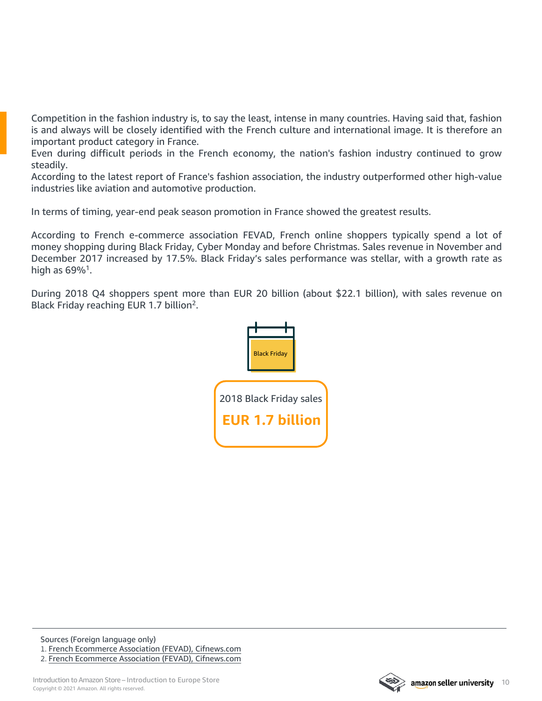Competition in the fashion industry is, to say the least, intense in many countries. Having said that, fashion is and always will be closely identified with the French culture and international image. It is therefore an important product category in France.

Even during difficult periods in the French economy, the nation's fashion industry continued to grow steadily.

According to the latest report of France's fashion association, the industry outperformed other high-value industries like aviation and automotive production.

In terms of timing, year-end peak season promotion in France showed the greatest results.

According to French e-commerce association FEVAD, French online shoppers typically spend a lot of money shopping during Black Friday, Cyber Monday and before Christmas. Sales revenue in November and December 2017 increased by 17.5%. Black Friday's sales performance was stellar, with a growth rate as high as  $69\%$ <sup>1</sup>.

During 2018 Q4 shoppers spent more than EUR 20 billion (about \$22.1 billion), with sales revenue on Black Friday reaching EUR 1.7 billion<sup>2</sup>.



Sources (Foreign language only) 1. French Ecommerce Association (FEVAD), [Cifnews.com](https://www.cifnews.com/article/39424) 2. French Ecommerce Association (FEVAD), [Cifnews.com](https://www.cifnews.com/article/55041)

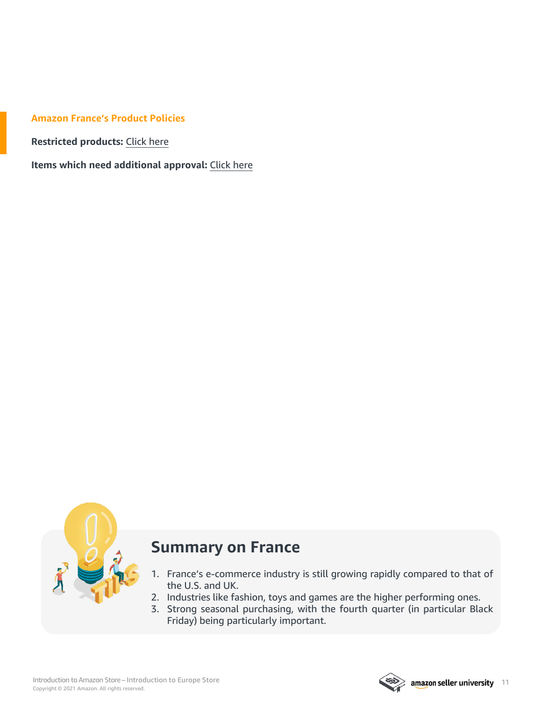#### **Amazon France's Product Policies**

**Restricted products:** [Click](https://sellercentral.amazon.fr/gp/help/help.html?itemID=201743940&language=en_GB&ld=SCSOAlogin) here

**Items which need additional approval:** [Click](https://sellercentral.amazon.fr/gp/help/200301050?ref_=xx_swlang_head_%5e&mons_sel_locale=en_FR&languageSwitched=1) here



## **Summary on France**

- 1. France's e-commerce industry is still growing rapidly compared to that of the U.S. and UK.
- 2. Industries like fashion, toys and games are the higher performing ones.
- 3. Strong seasonal purchasing, with the fourth quarter (in particular Black Friday) being particularly important.

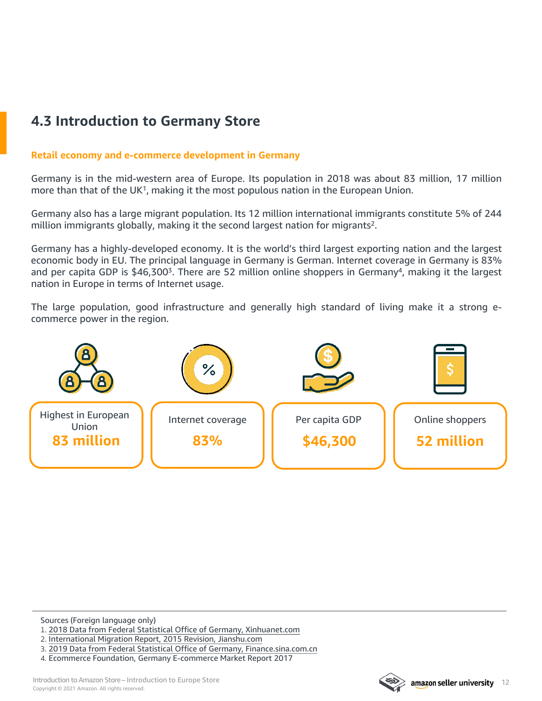## <span id="page-11-0"></span>**4.3 Introduction to Germany Store**

#### **Retail economy and e-commerce development in Germany**

Germany is in the mid-western area of Europe. Its population in 2018 was about 83 million, 17 million more than that of the  $UK<sup>1</sup>$ , making it the most populous nation in the European Union.

Germany also has a large migrant population. Its 12 million international immigrants constitute 5% of 244 million immigrants globally, making it the second largest nation for migrants<sup>2</sup>.

Germany has a highly-developed economy. It is the world's third largest exporting nation and the largest economic body in EU. The principal language in Germany is German. Internet coverage in Germany is 83% and per capita GDP is \$46,300<sup>3</sup>. There are 52 million online shoppers in Germany<sup>4</sup>, making it the largest nation in Europe in terms of Internet usage.

The large population, good infrastructure and generally high standard of living make it a strong ecommerce power in the region.



Sources (Foreign language only)

4. Ecommerce Foundation, Germany E-commerce Market Report 2017



<sup>1.</sup> 2018 Data from Federal Statistical Office of Germany, [Xinhuanet.com](http://www.xinhuanet.com/world/2019-01/27/c_1124048874.htm)

<sup>2.</sup> [International](https://www.jianshu.com/p/cfaa901496b9) Migration Report, 2015 Revision, Jianshu.com

<sup>3.</sup> 2019 Data from Federal Statistical Office of Germany, [Finance.sina.com.cn](https://baijiahao.baidu.com/s?id=1656120357706779446&wfr=spider&for=pc)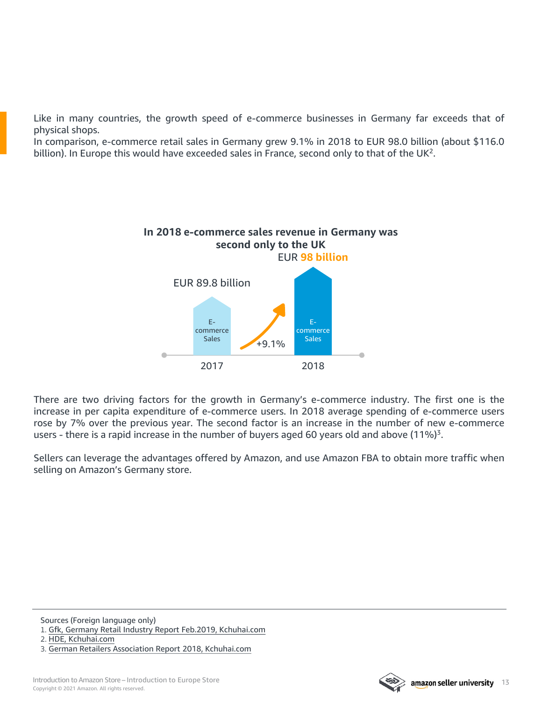Like in many countries, the growth speed of e-commerce businesses in Germany far exceeds that of physical shops.

In comparison, e-commerce retail sales in Germany grew 9.1% in 2018 to EUR 98.0 billion (about \$116.0 billion). In Europe this would have exceeded sales in France, second only to that of the  $UK<sup>2</sup>$ .



There are two driving factors for the growth in Germany's e-commerce industry. The first one is the increase in per capita expenditure of e-commerce users. In 2018 average spending of e-commerce users rose by 7% over the previous year. The second factor is an increase in the number of new e-commerce users - there is a rapid increase in the number of buyers aged 60 years old and above (11%)<sup>3</sup>.

Sellers can leverage the advantages offered by Amazon, and use Amazon FBA to obtain more traffic when selling on Amazon's Germany store.

Sources (Foreign language only)

1. Gfk, Germany Retail Industry Report Feb.2019, [Kchuhai.com](http://www.kchuhai.com/report/view-2120.html)

2. HDE, [Kchuhai.com](http://www.kchuhai.com/report/view-2120.html)

3. German Retailers Association Report 2018, [Kchuhai.com](http://www.kchuhai.com/report/view-2120.html)

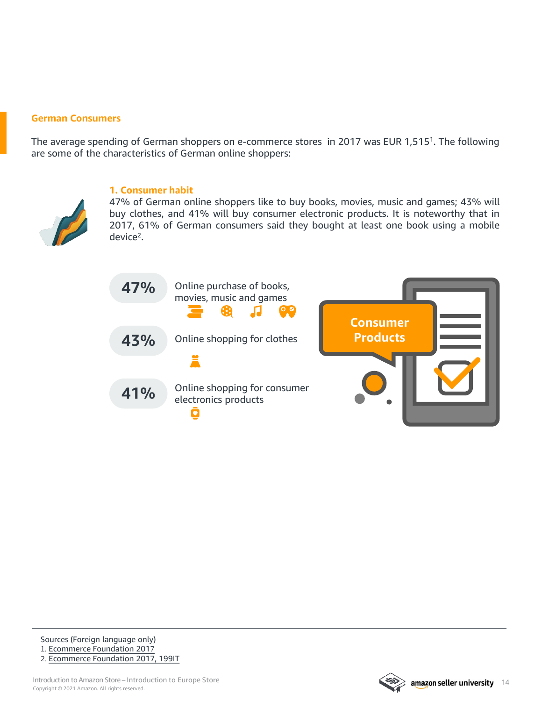#### **German Consumers**

The average spending of German shoppers on e-commerce stores in 2017 was EUR 1,5151. The following are some of the characteristics of German online shoppers:



#### **1. Consumer habit**

47% of German online shoppers like to buy books, movies, music and games; 43% will buy clothes, and 41% will buy consumer electronic products. It is noteworthy that in 2017, 61% of German consumers said they bought at least one book using a mobile device2.



Sources (Foreign language only)

1. [Ecommerce](http://www.199it.com/archives/755568.html) Foundation 2017 2. [Ecommerce](http://www.199it.com/archives/755568.html) Foundation 2017, 199IT

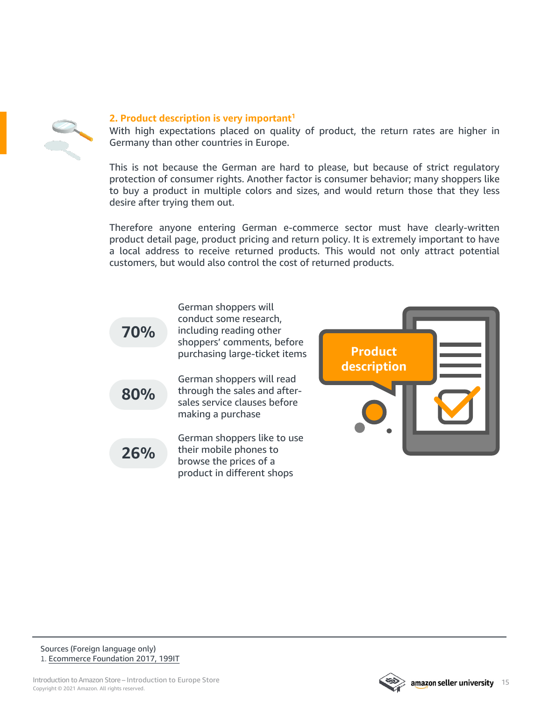

#### **2. Product description is very important1**

With high expectations placed on quality of product, the return rates are higher in Germany than other countries in Europe.

This is not because the German are hard to please, but because of strict regulatory protection of consumer rights. Another factor is consumer behavior; many shoppers like to buy a product in multiple colors and sizes, and would return those that they less desire after trying them out.

Therefore anyone entering German e-commerce sector must have clearly-written product detail page, product pricing and return policy. It is extremely important to have a local address to receive returned products. This would not only attract potential customers, but would also control the cost of returned products.







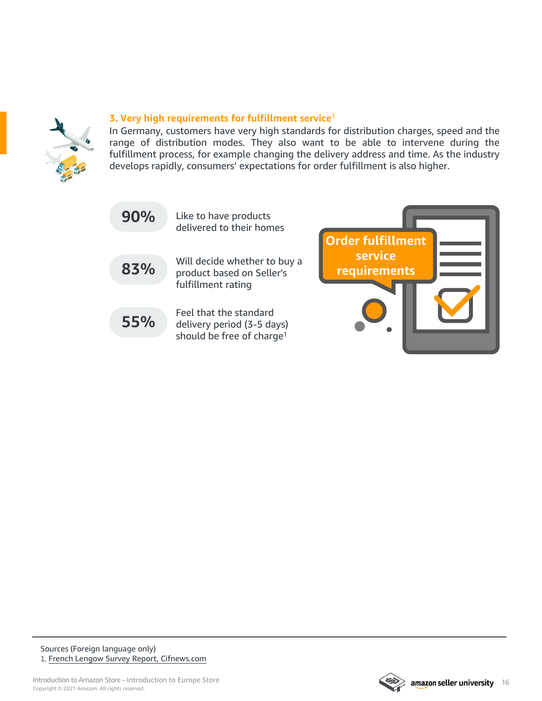

#### **3. Very high requirements for fulfillment service**<sup>1</sup>

In Germany, customers have very high standards for distribution charges, speed and the range of distribution modes. They also want to be able to intervene during the fulfillment process, for example changing the delivery address and time. As the industry develops rapidly, consumers' expectations for order fulfillment is also higher.

| 90% | Like to have products<br>delivered to their homes                                             |                              |
|-----|-----------------------------------------------------------------------------------------------|------------------------------|
|     |                                                                                               | Order fulfillment<br>service |
| 83% | Will decide whether to buy a<br>product based on Seller's<br>fulfillment rating               | requirements                 |
|     |                                                                                               |                              |
| 55% | Feel that the standard<br>delivery period (3-5 days)<br>should be free of charge <sup>1</sup> |                              |

Sources (Foreign language only) 1. French Lengow Survey Report, [Cifnews.com](https://www.cifnews.com/article/31880?origin=mshare)

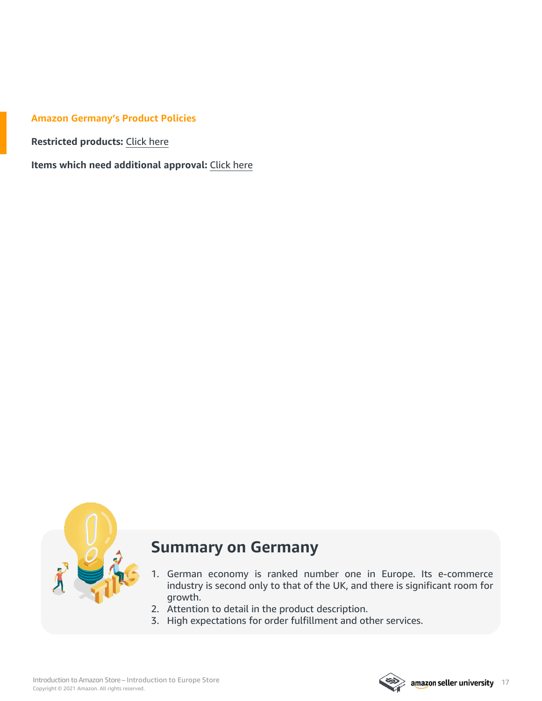#### **Amazon Germany's Product Policies**

**Restricted products:** [Click](https://sellercentral.amazon.de/gp/help/help.html?itemID=201743940&language=en_GB&ld=SCSOAlogin) here

**Items which need additional approval:** [Click](https://sellercentral.amazon.de/gp/help/200301050?ref_=xx_swlang_head_%5e&mons_sel_locale=en_DE&languageSwitched=1) here



### **Summary on Germany**

- 1. German economy is ranked number one in Europe. Its e-commerce industry is second only to that of the UK, and there is significant room for growth.
- 2. Attention to detail in the product description.
- 3. High expectations for order fulfillment and other services.

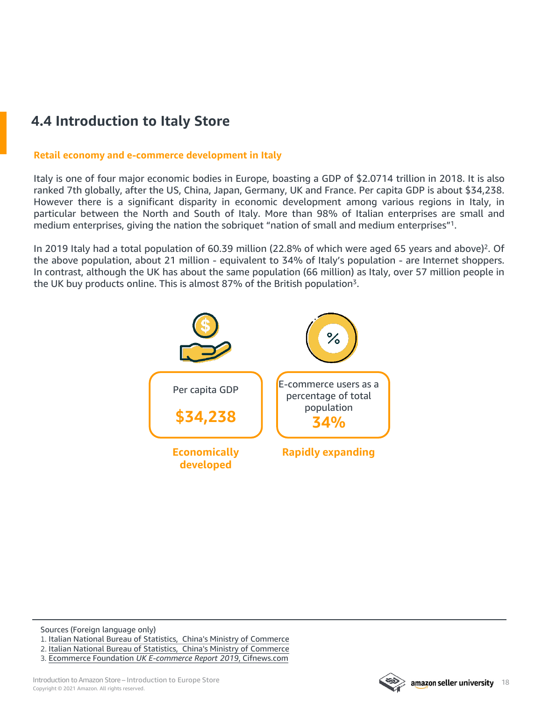## <span id="page-17-0"></span>**4.4 Introduction to Italy Store**

#### **Retail economy and e-commerce development in Italy**

Italy is one of four major economic bodies in Europe, boasting a GDP of \$2.0714 trillion in 2018. It is also ranked 7th globally, after the US, China, Japan, Germany, UK and France. Per capita GDP is about \$34,238. However there is a significant disparity in economic development among various regions in Italy, in particular between the North and South of Italy. More than 98% of Italian enterprises are small and medium enterprises, giving the nation the sobriquet "nation of small and medium enterprises"1.

In 2019 Italy had a total population of 60.39 million (22.8% of which were aged 65 years and above)<sup>2</sup>. Of the above population, about 21 million - equivalent to 34% of Italy's population - are Internet shoppers. In contrast, although the UK has about the same population (66 million) as Italy, over 57 million people in the UK buy products online. This is almost 87% of the British population<sup>3</sup>.



Sources (Foreign language only) 1. Italian National Bureau of Statistics, China's Ministry of [Commerce](http://www.mofcom.gov.cn/article/i/jyjl/m/201903/20190302839511.shtml)

- 2. Italian National Bureau of Statistics, China's Ministry of [Commerce](http://it.mofcom.gov.cn/article/jmxw/201902/20190202833884.shtml)
- 3. Ecommerce Foundation *UK E-commerce Report 2019*, [Cifnews.com](https://www.cifnews.com/article/45379)

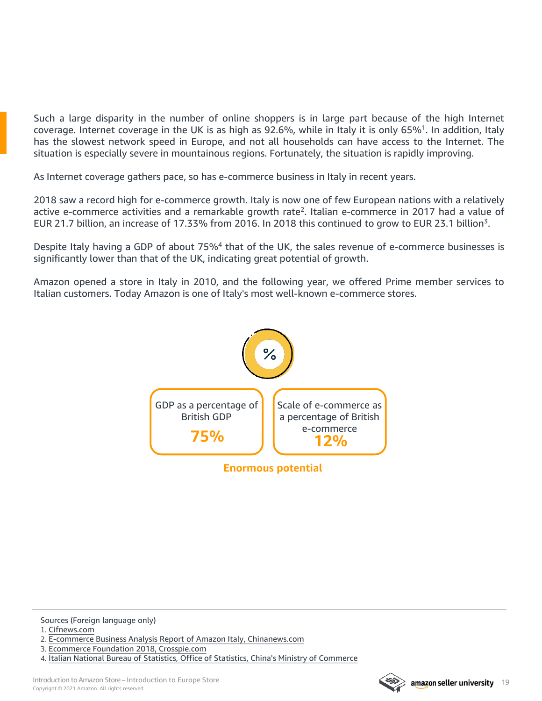Such a large disparity in the number of online shoppers is in large part because of the high Internet coverage. Internet coverage in the UK is as high as 92.6%, while in Italy it is only 65%1. In addition, Italy has the slowest network speed in Europe, and not all households can have access to the Internet. The situation is especially severe in mountainous regions. Fortunately, the situation is rapidly improving.

As Internet coverage gathers pace, so has e-commerce business in Italy in recent years.

2018 saw a record high for e-commerce growth. Italy is now one of few European nations with a relatively active e-commerce activities and a remarkable growth rate2. Italian e-commerce in 2017 had a value of EUR 21.7 billion, an increase of 17.33% from 2016. In 2018 this continued to grow to EUR 23.1 billion3.

Despite Italy having a GDP of about 75%<sup>4</sup> that of the UK, the sales revenue of e-commerce businesses is significantly lower than that of the UK, indicating great potential of growth.

Amazon opened a store in Italy in 2010, and the following year, we offered Prime member services to Italian customers. Today Amazon is one of Italy's most well-known e-commerce stores.



Sources (Foreign language only)

1. [Cifnews.com](http://m.cifnews.com/article/40601)

3. Ecommerce Foundation 2018, [Crosspie.com](http://crosspie.com/article/309.html)



<sup>2.</sup> E-commerce Business Analysis Report of Amazon Italy, [Chinanews.com](http://www.chinanews.com/gj/2018/08-27/8611225.shtml)

<sup>4.</sup> Italian National Bureau of Statistics, Office of Statistics, China's Ministry of [Commerce](http://www.mofcom.gov.cn/article/i/jyjl/m/201903/20190302839511.shtml)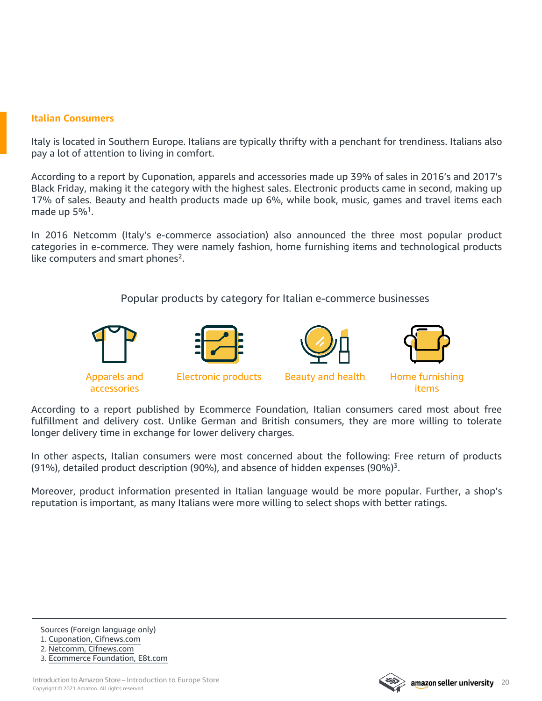#### **Italian Consumers**

Italy is located in Southern Europe. Italians are typically thrifty with a penchant for trendiness. Italians also pay a lot of attention to living in comfort.

According to a report by Cuponation, apparels and accessories made up 39% of sales in 2016's and 2017's Black Friday, making it the category with the highest sales. Electronic products came in second, making up 17% of sales. Beauty and health products made up 6%, while book, music, games and travel items each made up 5%<sup>1</sup>.

In 2016 Netcomm (Italy's e-commerce association) also announced the three most popular product categories in e-commerce. They were namely fashion, home furnishing items and technological products like computers and smart phones<sup>2</sup>.

Popular products by category for Italian e-commerce businesses



According to a report published by Ecommerce Foundation, Italian consumers cared most about free fulfillment and delivery cost. Unlike German and British consumers, they are more willing to tolerate longer delivery time in exchange for lower delivery charges.

In other aspects, Italian consumers were most concerned about the following: Free return of products (91%), detailed product description (90%), and absence of hidden expenses (90%)<sup>3</sup>.

Moreover, product information presented in Italian language would be more popular. Further, a shop's reputation is important, as many Italians were more willing to select shops with better ratings.



<sup>1.</sup> Cuponation, [Cifnews.com](http://m.cifnews.com/article/30908)

<sup>2.</sup> Netcomm, [Cifnews.com](https://www.cifnews.com/article/26938)

<sup>3.</sup> Ecommerce [Foundation,](http://www.e8t.com/news/netsales/show-136938.html) E8t.com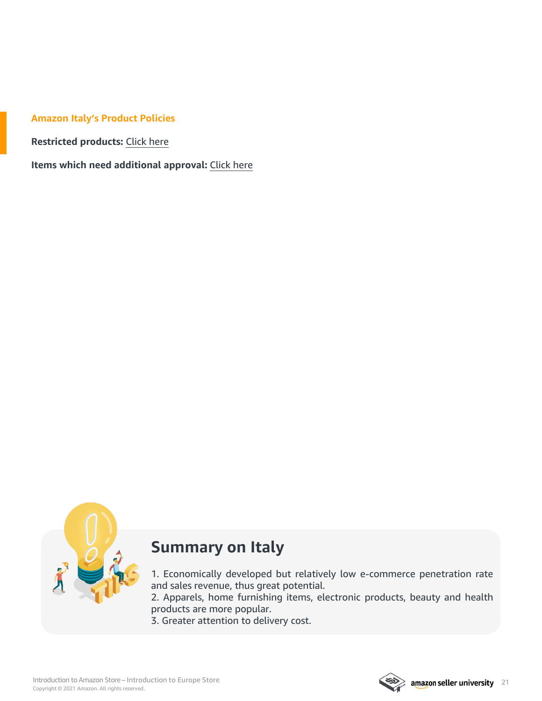#### **Amazon Italy's Product Policies**

**Restricted products:** [Click](https://sellercentral.amazon.it/gp/help/help.html?itemID=201743940&language=en_GB&ld=SCSOAlogin&) here

**Items which need additional approval:** [Click](https://sellercentral.amazon.it/gp/help/200301050?ref_=xx_swlang_head_%5e&mons_sel_locale=en_IT&languageSwitched=1) here



## **Summary on Italy**

1. Economically developed but relatively low e-commerce penetration rate and sales revenue, thus great potential.

2. Apparels, home furnishing items, electronic products, beauty and health products are more popular.

3. Greater attention to delivery cost.

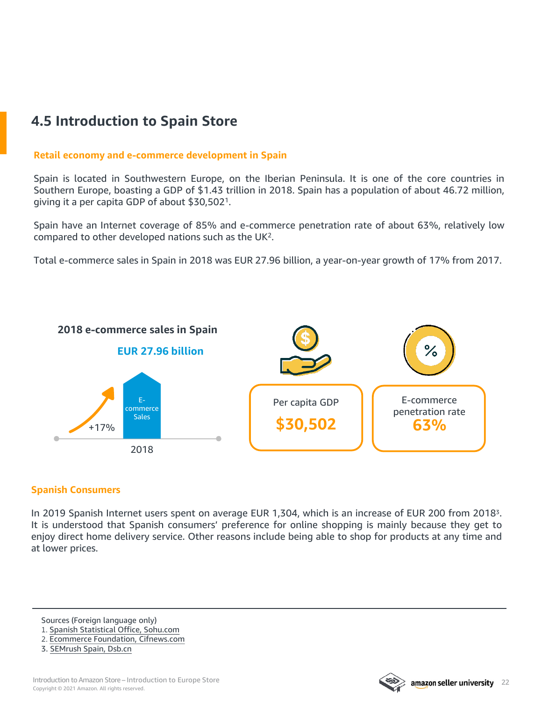## <span id="page-21-0"></span>**4.5 Introduction to Spain Store**

#### **Retail economy and e-commerce development in Spain**

Spain is located in Southwestern Europe, on the Iberian Peninsula. It is one of the core countries in Southern Europe, boasting a GDP of \$1.43 trillion in 2018. Spain has a population of about 46.72 million, giving it a per capita GDP of about \$30,5021.

Spain have an Internet coverage of 85% and e-commerce penetration rate of about 63%, relatively low compared to other developed nations such as the UK2.

Total e-commerce sales in Spain in 2018 was EUR 27.96 billion, a year-on-year growth of 17% from 2017.



#### **Spanish Consumers**

In 2019 Spanish Internet users spent on average EUR 1,304, which is an increase of EUR 200 from 20183. It is understood that Spanish consumers' preference for online shopping is mainly because they get to enjoy direct home delivery service. Other reasons include being able to shop for products at any time and at lower prices.

Sources (Foreign language only)

- 1. Spanish Statistical Office, [Sohu.com](https://www.sohu.com/a/292806865_100110525)
- 2. Ecommerce Foundation, [Cifnews.com](https://www.cifnews.com/article/44682)



<sup>3.</sup> [SEMrush](http://www.dsb.cn/110296.html) Spain, Dsb.cn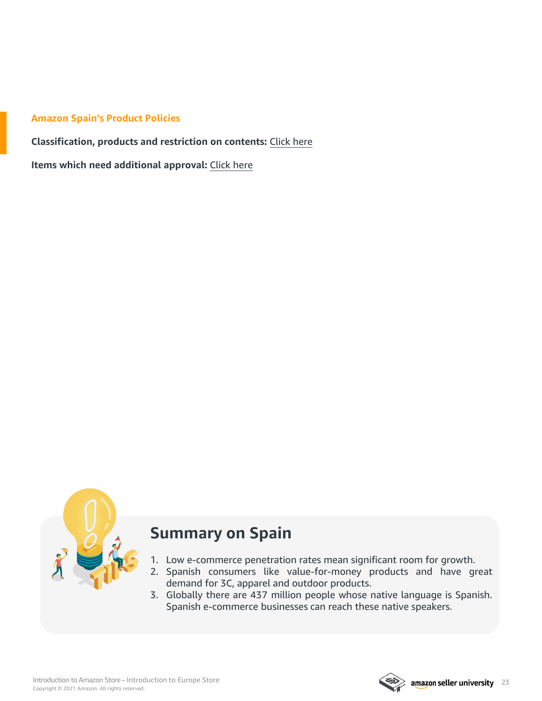#### **Amazon Spain's Product Policies**

**Classification, products and restriction on contents:** [Click](https://sellercentral.amazon.es/gp/help/external/201743940?language=en_ES) here

**Items which need additional approval:** [Click](https://sellercentral.amazon.es/gp/help/external/200301050?language=en_ES) here



## **Summary on Spain**

- 1. Low e-commerce penetration rates mean significant room for growth.
- 2. Spanish consumers like value-for-money products and have great demand for 3C, apparel and outdoor products.
- 3. Globally there are 437 million people whose native language is Spanish. Spanish e-commerce businesses can reach these native speakers.

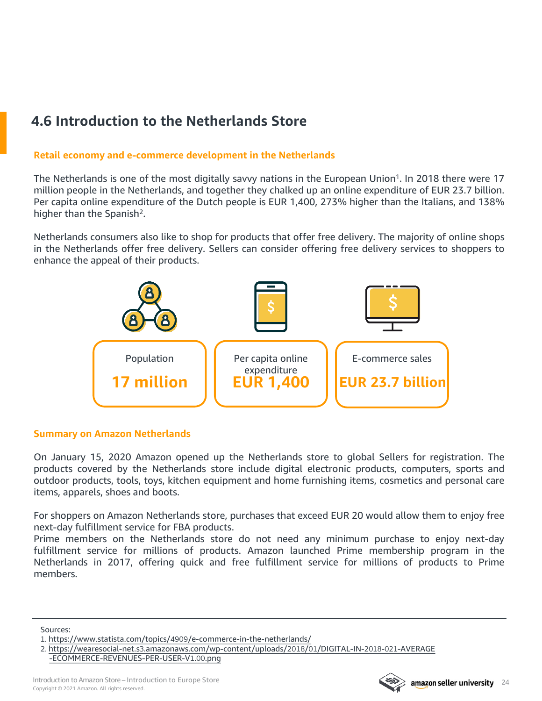## <span id="page-23-0"></span>**4.6 Introduction to the Netherlands Store**

#### **Retail economy and e-commerce development in the Netherlands**

The Netherlands is one of the most digitally savvy nations in the European Union<sup>1</sup>. In 2018 there were 17 million people in the Netherlands, and together they chalked up an online expenditure of EUR 23.7 billion. Per capita online expenditure of the Dutch people is EUR 1,400, 273% higher than the Italians, and 138% higher than the Spanish<sup>2</sup>.

Netherlands consumers also like to shop for products that offer free delivery. The majority of online shops in the Netherlands offer free delivery. Sellers can consider offering free delivery services to shoppers to enhance the appeal of their products.



#### **Summary on Amazon Netherlands**

On January 15, 2020 Amazon opened up the Netherlands store to global Sellers for registration. The products covered by the Netherlands store include digital electronic products, computers, sports and outdoor products, tools, toys, kitchen equipment and home furnishing items, cosmetics and personal care items, apparels, shoes and boots.

For shoppers on Amazon Netherlands store, purchases that exceed EUR 20 would allow them to enjoy free next-day fulfillment service for FBA products.

Prime members on the Netherlands store do not need any minimum purchase to enjoy next-day fulfillment service for millions of products. Amazon launched Prime membership program in the Netherlands in 2017, offering quick and free fulfillment service for millions of products to Prime members.

Sources:



<sup>1.</sup> https://www.statista.com/topics/4909[/e-commerce-in-the-netherlands/](https://www.statista.com/topics/4909/e-commerce-in-the-netherlands/)

<sup>2.</sup> https://wearesocial-net.s3[.amazonaws.com/wp-content/uploads/](https://wearesocial-net.s3.amazonaws.com/wp-content/uploads/2018/01/DIGITAL-IN-2018-021-AVERAGE-ECOMMERCE-REVENUES-PER-USER-V1.00.png)2018/01/DIGITAL-IN-2018-021-AVERAGE [-ECOMMERCE-REVENUES-PER-USER-V](https://wearesocial-net.s3.amazonaws.com/wp-content/uploads/2018/01/DIGITAL-IN-2018-021-AVERAGE-ECOMMERCE-REVENUES-PER-USER-V1.00.png)1.00.png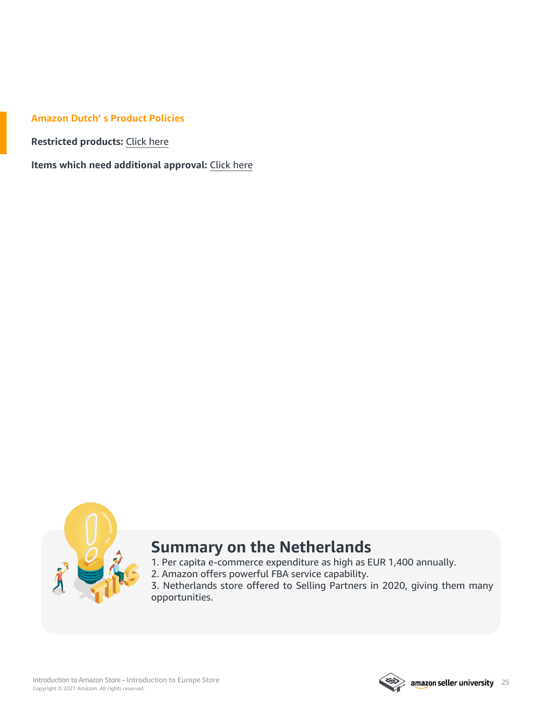#### **Amazon Dutch' s Product Policies**

**Restricted products:** [Click](https://sellercentral.amazon.nl/gp/help/help.html?itemID=201743940&language=zh_CN&ref=ag_201743940_cont_1801&ref_=xx_swlang_head_xx&mons_sel_locale=en_GB&languageSwitched=1) here

**Items which need additional approval:** [Click](https://sellercentral.amazon.nl/gp/help/help.html?itemID=200301050&ref_=xx_swlang_head_xx&mons_sel_locale=en_GB&languageSwitched=1) here



## **Summary on the Netherlands**

- 1. Per capita e-commerce expenditure as high as EUR 1,400 annually.
- 2. Amazon offers powerful FBA service capability.

3. Netherlands store offered to Selling Partners in 2020, giving them many opportunities.

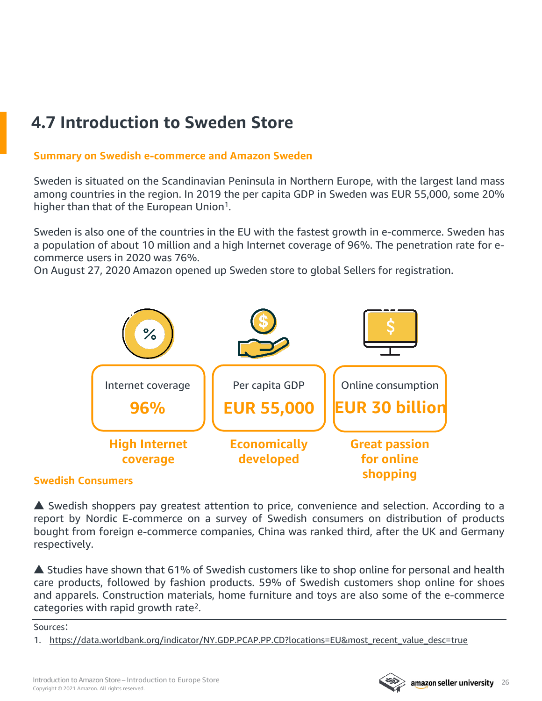## <span id="page-25-0"></span>**4.7 Introduction to Sweden Store**

#### **Summary on Swedish e-commerce and Amazon Sweden**

Sweden is situated on the Scandinavian Peninsula in Northern Europe, with the largest land mass among countries in the region. In 2019 the per capita GDP in Sweden was EUR 55,000, some 20% higher than that of the European Union<sup>1</sup>.

Sweden is also one of the countries in the EU with the fastest growth in e-commerce. Sweden has a population of about 10 million and a high Internet coverage of 96%. The penetration rate for ecommerce users in 2020 was 76%.

On August 27, 2020 Amazon opened up Sweden store to global Sellers for registration.



#### **Swedish Consumers**

▲ Swedish shoppers pay greatest attention to price, convenience and selection. According to a report by Nordic E-commerce on a survey of Swedish consumers on distribution of products bought from foreign e-commerce companies, China was ranked third, after the UK and Germany respectively.

▲ Studies have shown that 61% of Swedish customers like to shop online for personal and health care products, followed by fashion products. 59% of Swedish customers shop online for shoes and apparels. Construction materials, home furniture and toys are also some of the e-commerce categories with rapid growth rate2.

Sources:

1. [https://data.worldbank.org/indicator/NY.GDP.PCAP.PP.CD?locations=EU&most\\_recent\\_value\\_desc=true](https://data.worldbank.org/indicator/NY.GDP.PCAP.PP.CD?locations=EU&most_recent_value_desc=true)

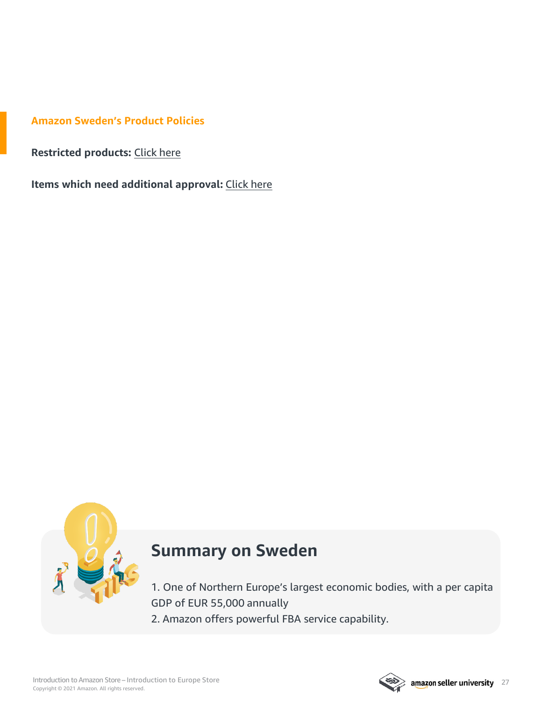**Amazon Sweden's Product Policies**

**Restricted products:** [Click](https://sellercentral.amazon.se/gp/help/G201743940) here

**Items which need additional approval:** [Click](https://sellercentral.amazon.se/gp/help/200301050) here



## **Summary on Sweden**

1. One of Northern Europe's largest economic bodies, with a per capita GDP of EUR 55,000 annually

2. Amazon offers powerful FBA service capability.

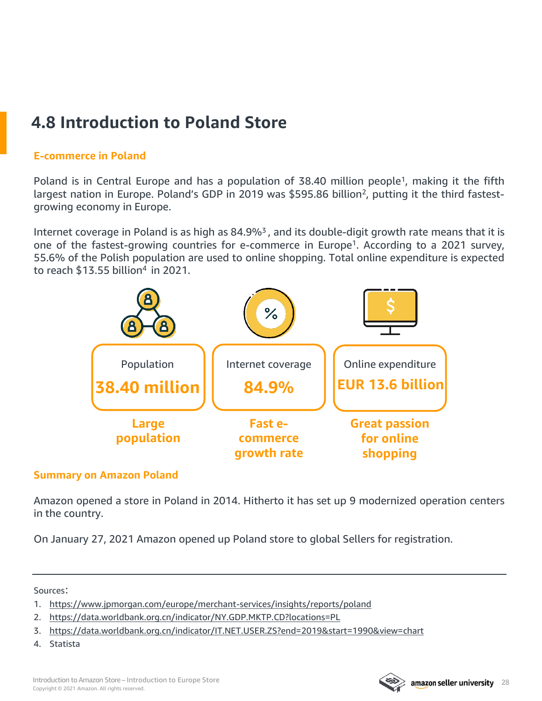## <span id="page-27-0"></span>**4.8 Introduction to Poland Store**

#### **E-commerce in Poland**

Poland is in Central Europe and has a population of 38.40 million people<sup>1</sup>, making it the fifth largest nation in Europe. Poland's GDP in 2019 was \$595.86 billion<sup>2</sup>, putting it the third fastestgrowing economy in Europe.

Internet coverage in Poland is as high as 84.9%<sup>3</sup>, and its double-digit growth rate means that it is one of the fastest-growing countries for e-commerce in Europe<sup>1</sup>. According to a 2021 survey, 55.6% of the Polish population are used to online shopping. Total online expenditure is expected to reach \$13.55 billion4 in 2021.



#### **Summary on Amazon Poland**

Amazon opened a store in Poland in 2014. Hitherto it has set up 9 modernized operation centers in the country.

On January 27, 2021 Amazon opened up Poland store to global Sellers for registration.

#### Sources:

- 1. <https://www.jpmorgan.com/europe/merchant-services/insights/reports/poland>
- 2. <https://data.worldbank.org.cn/indicator/NY.GDP.MKTP.CD?locations=PL>
- 3. <https://data.worldbank.org.cn/indicator/IT.NET.USER.ZS?end=2019&start=1990&view=chart>
- 4. Statista

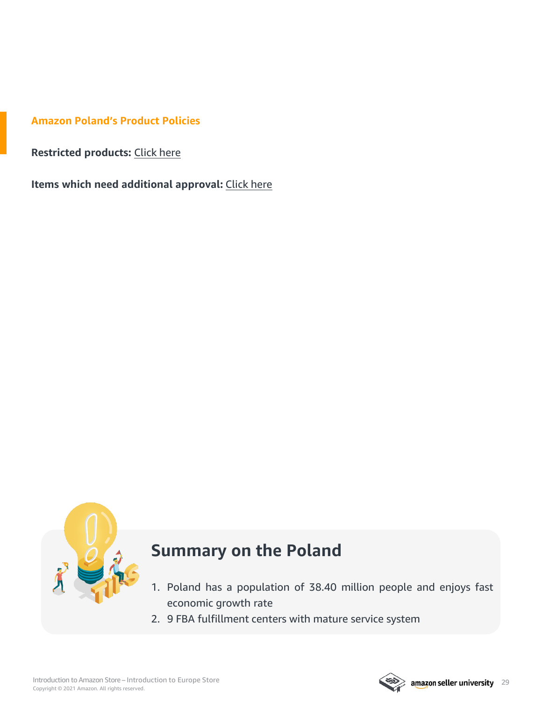**Amazon Poland's Product Policies**

**Restricted products:** [Click](https://sellercentral.amazon.pl/gp/help/G201743940) here

**Items which need additional approval:** [Click](https://sellercentral.amazon.pl/gp/help/200301050) here



## **Summary on the Poland**

- 1. Poland has a population of 38.40 million people and enjoys fast economic growth rate
- 2. 9 FBA fulfillment centers with mature service system